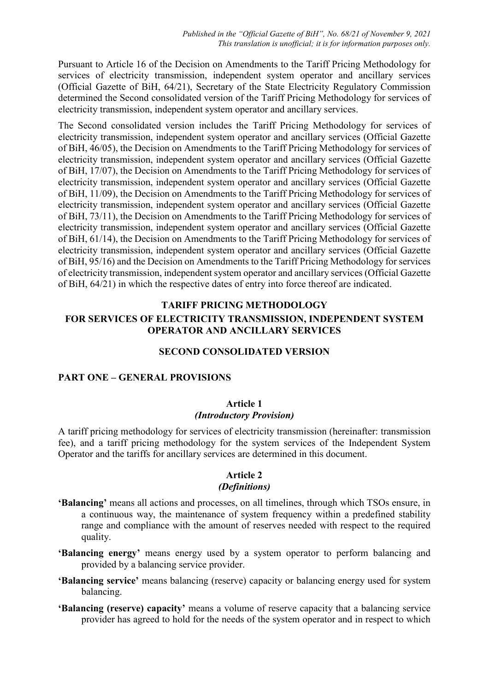Pursuant to Article 16 of the Decision on Amendments to the Tariff Pricing Methodology for services of electricity transmission, independent system operator and ancillary services (Official Gazette of BiH, 64/21), Secretary of the State Electricity Regulatory Commission determined the Second consolidated version of the Tariff Pricing Methodology for services of electricity transmission, independent system operator and ancillary services.

The Second consolidated version includes the Tariff Pricing Methodology for services of electricity transmission, independent system operator and ancillary services (Official Gazette of BiH, 46/05), the Decision on Amendments to the Tariff Pricing Methodology for services of electricity transmission, independent system operator and ancillary services (Official Gazette of BiH, 17/07), the Decision on Amendments to the Tariff Pricing Methodology for services of electricity transmission, independent system operator and ancillary services (Official Gazette of BiH, 11/09), the Decision on Amendments to the Tariff Pricing Methodology for services of electricity transmission, independent system operator and ancillary services (Official Gazette of BiH, 73/11), the Decision on Amendments to the Tariff Pricing Methodology for services of electricity transmission, independent system operator and ancillary services (Official Gazette of BiH, 61/14), the Decision on Amendments to the Tariff Pricing Methodology for services of electricity transmission, independent system operator and ancillary services (Official Gazette of BiH, 95/16) and the Decision on Amendments to the Tariff Pricing Methodology for services of electricity transmission, independent system operator and ancillary services (Official Gazette of BiH, 64/21) in which the respective dates of entry into force thereof are indicated.

# **TARIFF PRICING METHODOLOGY FOR SERVICES OF ELECTRICITY TRANSMISSION, INDEPENDENT SYSTEM OPERATOR AND ANCILLARY SERVICES**

### **SECOND CONSOLIDATED VERSION**

#### **PART ONE – GENERAL PROVISIONS**

### **Article 1** *(Introductory Provision)*

A tariff pricing methodology for services of electricity transmission (hereinafter: transmission fee), and a tariff pricing methodology for the system services of the Independent System Operator and the tariffs for ancillary services are determined in this document.

# **Article 2**

#### *(Definitions)*

- **ʻBalancing'** means all actions and processes, on all timelines, through which TSOs ensure, in a continuous way, the maintenance of system frequency within a predefined stability range and compliance with the amount of reserves needed with respect to the required quality.
- **ʻBalancing energy'** means energy used by a system operator to perform balancing and provided by a balancing service provider.
- **ʻBalancing service'** means balancing (reserve) capacity or balancing energy used for system balancing.
- **ʻBalancing (reserve) capacity'** means a volume of reserve capacity that a balancing service provider has agreed to hold for the needs of the system operator and in respect to which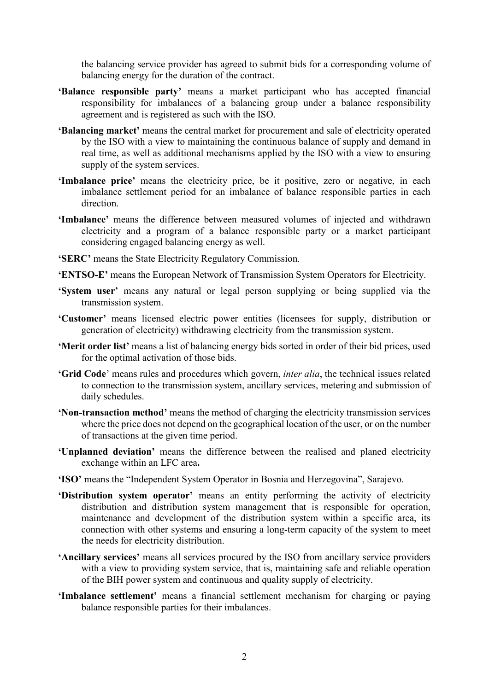the balancing service provider has agreed to submit bids for a corresponding volume of balancing energy for the duration of the contract.

- **ʻBalance responsible party'** means a market participant who has accepted financial responsibility for imbalances of a balancing group under a balance responsibility agreement and is registered as such with the ISO.
- **'Balancing market'** means the central market for procurement and sale of electricity operated by the ISO with a view to maintaining the continuous balance of supply and demand in real time, as well as additional mechanisms applied by the ISO with a view to ensuring supply of the system services.
- **ʻImbalance price'** means the electricity price, be it positive, zero or negative, in each imbalance settlement period for an imbalance of balance responsible parties in each direction.
- **ʻImbalance'** means the difference between measured volumes of injected and withdrawn electricity and a program of a balance responsible party or a market participant considering engaged balancing energy as well.
- **ʻSERC'** means the State Electricity Regulatory Commission.
- **ʻENTSO-E'** means the European Network of Transmission System Operators for Electricity.
- **ʻSystem user'** means any natural or legal person supplying or being supplied via the transmission system.
- **ʻCustomer'** means licensed electric power entities (licensees for supply, distribution or generation of electricity) withdrawing electricity from the transmission system.
- **ʻMerit order list'** means a list of balancing energy bids sorted in order of their bid prices, used for the optimal activation of those bids.
- **ʻGrid Code**' means rules and procedures which govern, *inter alia*, the technical issues related to connection to the transmission system, ancillary services, metering and submission of daily schedules.
- **ʻNon-transaction method'** means the method of charging the electricity transmission services where the price does not depend on the geographical location of the user, or on the number of transactions at the given time period.
- **ʻUnplanned deviation'** means the difference between the realised and planed electricity exchange within an LFC area**.**
- **ʻISO'** means the "Independent System Operator in Bosnia and Herzegovina", Sarajevo.
- **ʻDistribution system operator'** means an entity performing the activity of electricity distribution and distribution system management that is responsible for operation. maintenance and development of the distribution system within a specific area, its connection with other systems and ensuring a long-term capacity of the system to meet the needs for electricity distribution.
- **ʻAncillary services'** means all services procured by the ISO from ancillary service providers with a view to providing system service, that is, maintaining safe and reliable operation of the BIH power system and continuous and quality supply of electricity.
- **'Imbalance settlement'** means a financial settlement mechanism for charging or paying balance responsible parties for their imbalances.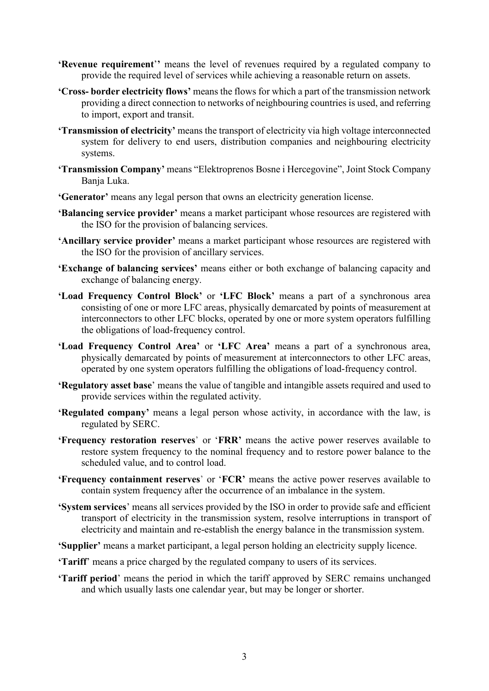- **'Revenue requirement**'**'** means the level of revenues required by a regulated company to provide the required level of services while achieving a reasonable return on assets.
- **'Cross- border electricity flows'** means the flows for which a part of the transmission network providing a direct connection to networks of neighbouring countries is used, and referring to import, export and transit.
- **'Transmission of electricity'** means the transport of electricity via high voltage interconnected system for delivery to end users, distribution companies and neighbouring electricity systems.
- **'Transmission Company'** means "Elektroprenos Bosne i Hercegovine", Joint Stock Company Banja Luka.
- **'Generator'** means any legal person that owns an electricity generation license.
- **'Balancing service provider'** means a market participant whose resources are registered with the ISO for the provision of balancing services.
- **'Ancillary service provider'** means a market participant whose resources are registered with the ISO for the provision of ancillary services.
- **'Exchange of balancing services'** means either or both exchange of balancing capacity and exchange of balancing energy.
- **'Load Frequency Control Block'** or **'LFC Block'** means a part of a synchronous area consisting of one or more LFC areas, physically demarcated by points of measurement at interconnectors to other LFC blocks, operated by one or more system operators fulfilling the obligations of load-frequency control.
- **'Load Frequency Control Area'** or **'LFC Area'** means a part of a synchronous area, physically demarcated by points of measurement at interconnectors to other LFC areas, operated by one system operators fulfilling the obligations of load-frequency control.
- **'Regulatory asset base**' means the value of tangible and intangible assets required and used to provide services within the regulated activity.
- **'Regulated company'** means a legal person whose activity, in accordance with the law, is regulated by SERC.
- **'Frequency restoration reserves**' or '**FRR'** means the active power reserves available to restore system frequency to the nominal frequency and to restore power balance to the scheduled value, and to control load.
- **'Frequency containment reserves**' or '**FCR'** means the active power reserves available to contain system frequency after the occurrence of an imbalance in the system.
- **'System services**' means all services provided by the ISO in order to provide safe and efficient transport of electricity in the transmission system, resolve interruptions in transport of electricity and maintain and re-establish the energy balance in the transmission system.
- **'Supplier'** means a market participant, a legal person holding an electricity supply licence.
- **'Tariff**' means a price charged by the regulated company to users of its services.
- **'Tariff period**' means the period in which the tariff approved by SERC remains unchanged and which usually lasts one calendar year, but may be longer or shorter.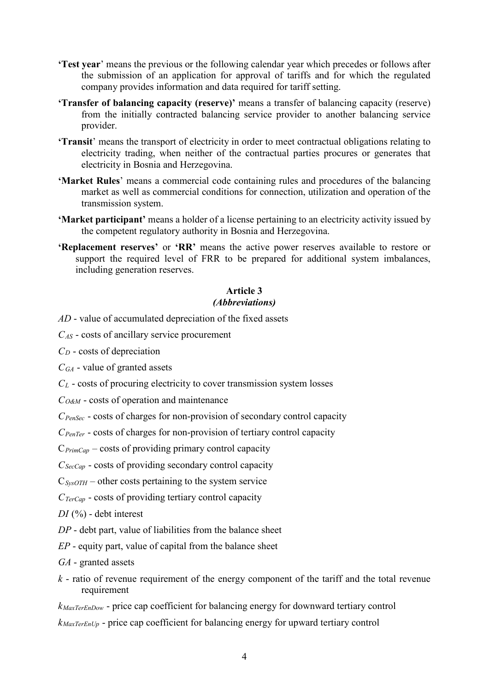- **'Test year**' means the previous or the following calendar year which precedes or follows after the submission of an application for approval of tariffs and for which the regulated company provides information and data required for tariff setting.
- **'Transfer of balancing capacity (reserve)'** means a transfer of balancing capacity (reserve) from the initially contracted balancing service provider to another balancing service provider.
- **'Transit**' means the transport of electricity in order to meet contractual obligations relating to electricity trading, when neither of the contractual parties procures or generates that electricity in Bosnia and Herzegovina.
- **'Market Rules**' means a commercial code containing rules and procedures of the balancing market as well as commercial conditions for connection, utilization and operation of the transmission system.
- **'Market participant'** means a holder of a license pertaining to an electricity activity issued by the competent regulatory authority in Bosnia and Herzegovina.
- **'Replacement reserves'** or **'RR'** means the active power reserves available to restore or support the required level of FRR to be prepared for additional system imbalances, including generation reserves.

# **Article 3**

### *(Abbreviations)*

- *AD*  value of accumulated depreciation of the fixed assets
- *CAS* costs of ancillary service procurement
- *CD* costs of depreciation
- *CGA* value of granted assets
- *CL* costs of procuring electricity to cover transmission system losses
- *CO&M* costs of operation and maintenance
- *CPenSec* costs of charges for non-provision of secondary control capacity
- *CPenTer* costs of charges for non-provision of tertiary control capacity
- C*PrimCap* costs of providing primary control capacity
- *CSecCap* costs of providing secondary control capacity
- $C_{SvsoTH}$  other costs pertaining to the system service
- *CTerCap* costs of providing tertiary control capacity
- *DI* (%) debt interest
- *DP* debt part, value of liabilities from the balance sheet
- *EP* equity part, value of capital from the balance sheet
- *GA* granted assets
- *k* ratio of revenue requirement of the energy component of the tariff and the total revenue requirement
- *kMaxTerEnDow* price cap coefficient for balancing energy for downward tertiary control
- *kMaxTerEnUp* price cap coefficient for balancing energy for upward tertiary control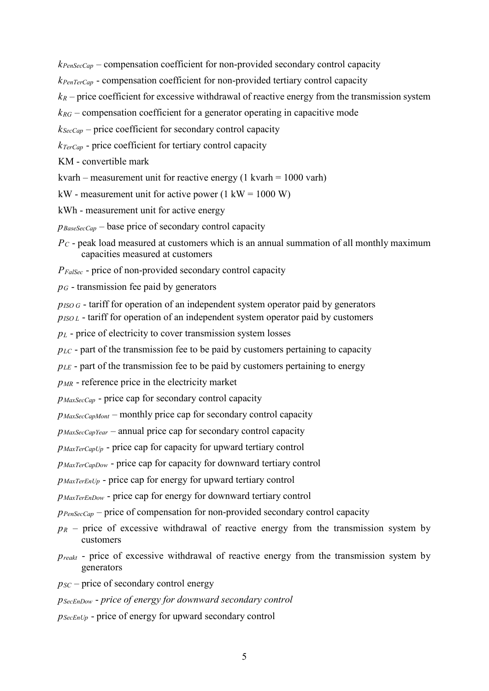*kPenSecCap* – compensation coefficient for non-provided secondary control capacity

*kPenTerCap* - compensation coefficient for non-provided tertiary control capacity

 $k_R$  – price coefficient for excessive withdrawal of reactive energy from the transmission system

 $k_{RG}$  – compensation coefficient for a generator operating in capacitive mode

*kSecCap* – price coefficient for secondary control capacity

*kTerCap* - price coefficient for tertiary control capacity

KM - convertible mark

kvarh – measurement unit for reactive energy  $(1 \text{ kvarh} = 1000 \text{ varh})$ 

kW - measurement unit for active power  $(1 \text{ kW} = 1000 \text{ W})$ 

kWh - measurement unit for active energy

*pBaseSecCap* – base price of secondary control capacity

*PC* - peak load measured at customers which is an annual summation of all monthly maximum capacities measured at customers

*PFalSec* - price of non-provided secondary control capacity

 $p<sub>G</sub>$  - transmission fee paid by generators

*p<sub>ISO G</sub>* - tariff for operation of an independent system operator paid by generators

*pISO L* - tariff for operation of an independent system operator paid by customers

*pL* - price of electricity to cover transmission system losses

*pLC* - part of the transmission fee to be paid by customers pertaining to capacity

*p<sub>LE*</sub> - part of the transmission fee to be paid by customers pertaining to energy

*pMR* - reference price in the electricity market

*pMaxSecCap* - price cap for secondary control capacity

*pMaxSecCapMont* – monthly price cap for secondary control capacity

*pMaxSecCapYear* – annual price cap for secondary control capacity

*pMaxTerCapUp* - price cap for capacity for upward tertiary control

*pMaxTerCapDow* - price cap for capacity for downward tertiary control

*pMaxTerEnUp* - price cap for energy for upward tertiary control

*pMaxTerEnDow* - price cap for energy for downward tertiary control

*p*<sub>PenSecCap</sub> – price of compensation for non-provided secondary control capacity

- $p_R$  price of excessive withdrawal of reactive energy from the transmission system by customers
- *p<sub>reakt</sub>* price of excessive withdrawal of reactive energy from the transmission system by generators
- $p_{SC}$  price of secondary control energy

*pSecEnDow* - *price of energy for downward secondary control*

*p<sub>SecEnUp</sub>* - price of energy for upward secondary control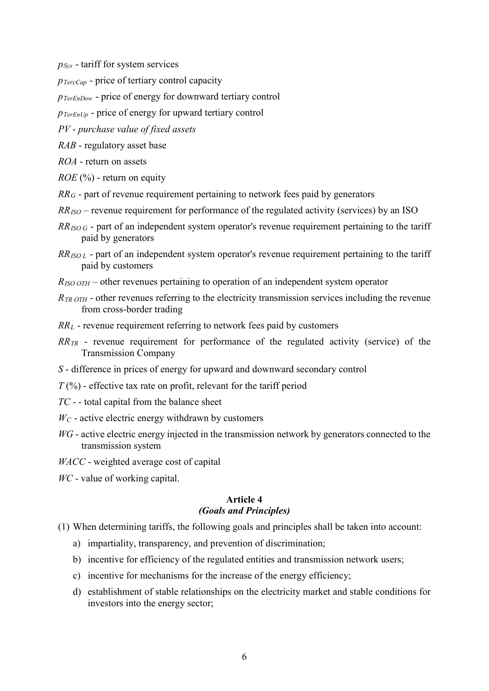*pSys* - tariff for system services

*pTercCap* - price of tertiary control capacity

*pTerEnDow* - price of energy for downward tertiary control

*p<sub>TerEnUp</sub>* - price of energy for upward tertiary control

*PV* - *purchase value of fixed assets*

*RAB* - regulatory asset base

*ROA* - return on assets

*ROE* (%) - return on equity

- *RR<sub>G</sub>* part of revenue requirement pertaining to network fees paid by generators
- *RRISO* revenue requirement for performance of the regulated activity (services) by an ISO
- *RR<sub>ISO G</sub>* part of an independent system operator's revenue requirement pertaining to the tariff paid by generators
- *RRISO L* part of an independent system operator's revenue requirement pertaining to the tariff paid by customers
- *RISO OTH* other revenues pertaining to operation of an independent system operator
- *R<sub>TR OTH</sub>* other revenues referring to the electricity transmission services including the revenue from cross-border trading
- *RRL* revenue requirement referring to network fees paid by customers
- *RR<sub>TR</sub>* revenue requirement for performance of the regulated activity (service) of the Transmission Company
- *S* difference in prices of energy for upward and downward secondary control
- $T$ (%) effective tax rate on profit, relevant for the tariff period
- *TC* - total capital from the balance sheet
- $W_C$  active electric energy withdrawn by customers
- *WG*  active electric energy injected in the transmission network by generators connected to the transmission system
- *WACC* weighted average cost of capital
- *WC* value of working capital.

#### **Article 4** *(Goals and Principles)*

- (1) When determining tariffs, the following goals and principles shall be taken into account:
	- a) impartiality, transparency, and prevention of discrimination;
	- b) incentive for efficiency of the regulated entities and transmission network users;
	- c) incentive for mechanisms for the increase of the energy efficiency;
	- d) establishment of stable relationships on the electricity market and stable conditions for investors into the energy sector;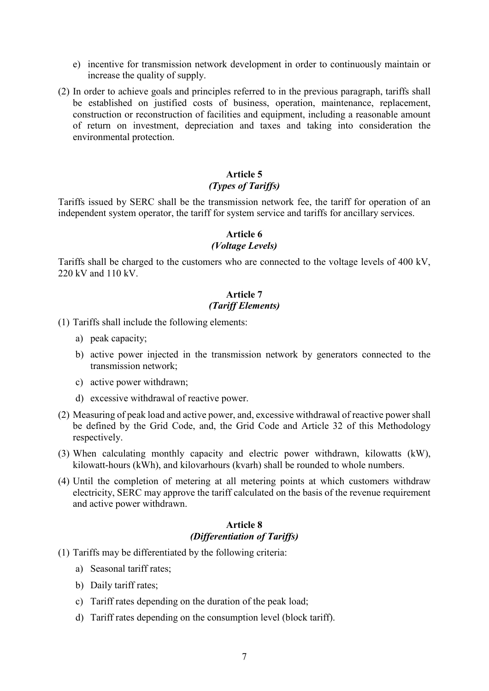- e) incentive for transmission network development in order to continuously maintain or increase the quality of supply.
- (2) In order to achieve goals and principles referred to in the previous paragraph, tariffs shall be established on justified costs of business, operation, maintenance, replacement, construction or reconstruction of facilities and equipment, including a reasonable amount of return on investment, depreciation and taxes and taking into consideration the environmental protection.

### **Article 5** *(Types of Tariffs)*

Tariffs issued by SERC shall be the transmission network fee, the tariff for operation of an independent system operator, the tariff for system service and tariffs for ancillary services.

#### **Article 6**

#### *(Voltage Levels)*

Tariffs shall be charged to the customers who are connected to the voltage levels of 400 kV, 220 kV and 110 kV.

#### **Article 7** *(Tariff Elements)*

(1) Tariffs shall include the following elements:

- a) peak capacity;
- b) active power injected in the transmission network by generators connected to the transmission network;
- c) active power withdrawn;
- d) excessive withdrawal of reactive power.
- (2) Measuring of peak load and active power, and, excessive withdrawal of reactive power shall be defined by the Grid Code, and, the Grid Code and Article 32 of this Methodology respectively.
- (3) When calculating monthly capacity and electric power withdrawn, kilowatts (kW), kilowatt-hours (kWh), and kilovarhours (kvarh) shall be rounded to whole numbers.
- (4) Until the completion of metering at all metering points at which customers withdraw electricity, SERC may approve the tariff calculated on the basis of the revenue requirement and active power withdrawn.

### **Article 8** *(Differentiation of Tariffs)*

- (1) Tariffs may be differentiated by the following criteria:
	- a) Seasonal tariff rates;
	- b) Daily tariff rates;
	- c) Tariff rates depending on the duration of the peak load;
	- d) Tariff rates depending on the consumption level (block tariff).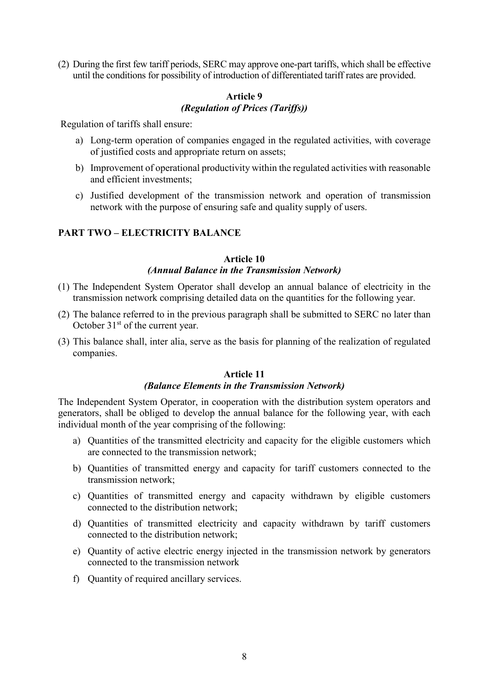(2) During the first few tariff periods, SERC may approve one-part tariffs, which shall be effective until the conditions for possibility of introduction of differentiated tariff rates are provided.

### **Article 9** *(Regulation of Prices (Tariffs))*

Regulation of tariffs shall ensure:

- a) Long-term operation of companies engaged in the regulated activities, with coverage of justified costs and appropriate return on assets;
- b) Improvement of operational productivity within the regulated activities with reasonable and efficient investments;
- c) Justified development of the transmission network and operation of transmission network with the purpose of ensuring safe and quality supply of users.

### **PART TWO – ELECTRICITY BALANCE**

### **Article 10** *(Annual Balance in the Transmission Network)*

- (1) The Independent System Operator shall develop an annual balance of electricity in the transmission network comprising detailed data on the quantities for the following year.
- (2) The balance referred to in the previous paragraph shall be submitted to SERC no later than October  $31<sup>st</sup>$  of the current year.
- (3) This balance shall, inter alia, serve as the basis for planning of the realization of regulated companies.

### **Article 11** *(Balance Elements in the Transmission Network)*

The Independent System Operator, in cooperation with the distribution system operators and generators, shall be obliged to develop the annual balance for the following year, with each individual month of the year comprising of the following:

- a) Quantities of the transmitted electricity and capacity for the eligible customers which are connected to the transmission network;
- b) Quantities of transmitted energy and capacity for tariff customers connected to the transmission network;
- c) Quantities of transmitted energy and capacity withdrawn by eligible customers connected to the distribution network;
- d) Quantities of transmitted electricity and capacity withdrawn by tariff customers connected to the distribution network;
- e) Quantity of active electric energy injected in the transmission network by generators connected to the transmission network
- f) Quantity of required ancillary services.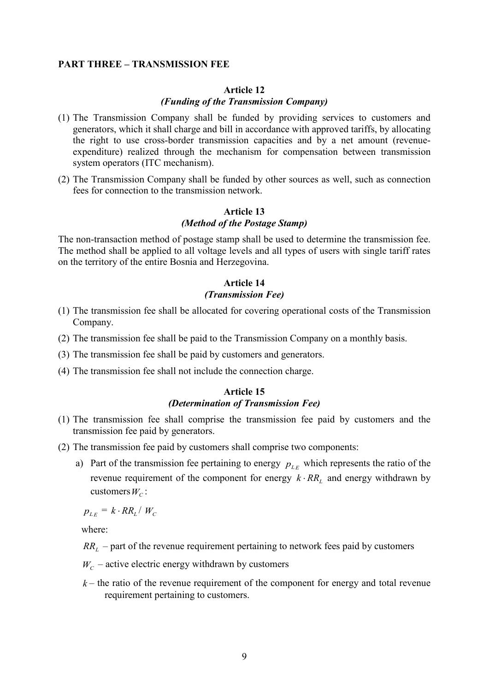#### **PART THREE – TRANSMISSION FEE**

#### **Article 12**

#### *(Funding of the Transmission Company)*

- (1) The Transmission Company shall be funded by providing services to customers and generators, which it shall charge and bill in accordance with approved tariffs, by allocating the right to use cross-border transmission capacities and by a net amount (revenueexpenditure) realized through the mechanism for compensation between transmission system operators (ITC mechanism).
- (2) The Transmission Company shall be funded by other sources as well, such as connection fees for connection to the transmission network.

### **Article 13** *(Method of the Postage Stamp)*

The non-transaction method of postage stamp shall be used to determine the transmission fee. The method shall be applied to all voltage levels and all types of users with single tariff rates on the territory of the entire Bosnia and Herzegovina.

### **Article 14** *(Transmission Fee)*

- (1) The transmission fee shall be allocated for covering operational costs of the Transmission Company.
- (2) The transmission fee shall be paid to the Transmission Company on a monthly basis.
- (3) The transmission fee shall be paid by customers and generators.
- (4) The transmission fee shall not include the connection charge.

#### **Article 15** *(Determination of Transmission Fee)*

- (1) The transmission fee shall comprise the transmission fee paid by customers and the transmission fee paid by generators.
- (2) The transmission fee paid by customers shall comprise two components:
	- a) Part of the transmission fee pertaining to energy  $p_{LE}$  which represents the ratio of the revenue requirement of the component for energy  $k \cdot RR$ <sub>*l*</sub> and energy withdrawn by customers  $W_c$ :

 $p_{LE} = k \cdot RR_L / W_C$ 

where:

 $RR<sub>L</sub>$  – part of the revenue requirement pertaining to network fees paid by customers

 $W_C$  – active electric energy withdrawn by customers

 $k$  – the ratio of the revenue requirement of the component for energy and total revenue requirement pertaining to customers.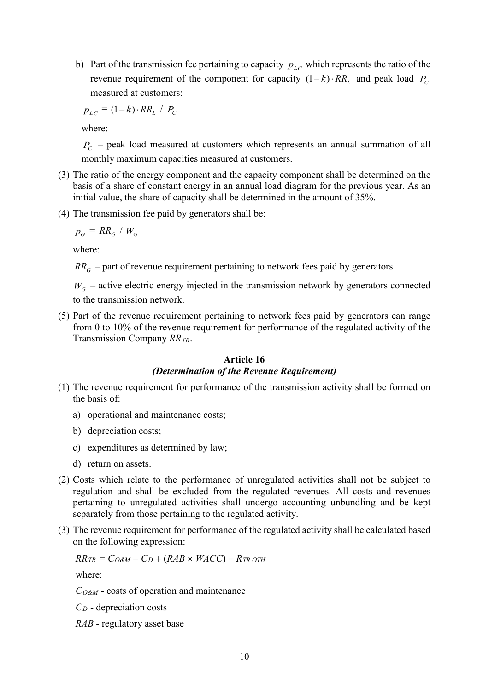b) Part of the transmission fee pertaining to capacity  $p_{LC}$  which represents the ratio of the revenue requirement of the component for capacity  $(1-k)$ ⋅  $RR<sub>L</sub>$  and peak load  $P<sub>C</sub>$ measured at customers:

 $p_{LC} = (1-k) \cdot RR_L / P_C$ 

where:

 $P_{C}$  – peak load measured at customers which represents an annual summation of all monthly maximum capacities measured at customers.

- (3) The ratio of the energy component and the capacity component shall be determined on the basis of a share of constant energy in an annual load diagram for the previous year. As an initial value, the share of capacity shall be determined in the amount of 35%.
- (4) The transmission fee paid by generators shall be:

$$
p_G = RR_G / W_G
$$

where:

 $RR<sub>G</sub>$  – part of revenue requirement pertaining to network fees paid by generators

 $W_G$  – active electric energy injected in the transmission network by generators connected to the transmission network.

(5) Part of the revenue requirement pertaining to network fees paid by generators can range from 0 to 10% of the revenue requirement for performance of the regulated activity of the Transmission Company *RRTR*.

#### **Article 16** *(Determination of the Revenue Requirement)*

- (1) The revenue requirement for performance of the transmission activity shall be formed on the basis of:
	- a) operational and maintenance costs;
	- b) depreciation costs;
	- c) expenditures as determined by law;
	- d) return on assets.
- (2) Costs which relate to the performance of unregulated activities shall not be subject to regulation and shall be excluded from the regulated revenues. All costs and revenues pertaining to unregulated activities shall undergo accounting unbundling and be kept separately from those pertaining to the regulated activity.
- (3) The revenue requirement for performance of the regulated activity shall be calculated based on the following expression:

$$
RR_{TR} = C_{O\&M} + C_D + (RAB \times WACC) - R_{TR\ OTH}
$$

where:

*CO&M* - costs of operation and maintenance

 $C_D$  - depreciation costs

*RAB* - regulatory asset base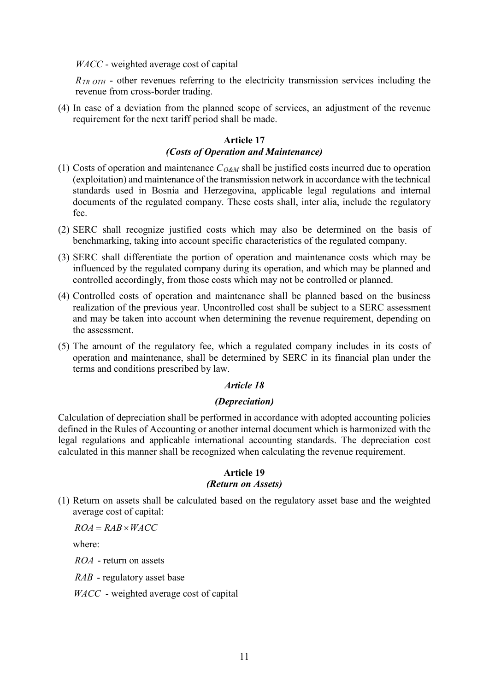*WACC* - weighted average cost of capital

*R<sub>TR OTH</sub>* - other revenues referring to the electricity transmission services including the revenue from cross-border trading.

(4) In case of a deviation from the planned scope of services, an adjustment of the revenue requirement for the next tariff period shall be made.

#### **Article 17**

#### *(Costs of Operation and Maintenance)*

- (1) Costs of operation and maintenance  $C_{O\&M}$  shall be justified costs incurred due to operation (exploitation) and maintenance of the transmission network in accordance with the technical standards used in Bosnia and Herzegovina, applicable legal regulations and internal documents of the regulated company. These costs shall, inter alia, include the regulatory fee.
- (2) SERC shall recognize justified costs which may also be determined on the basis of benchmarking, taking into account specific characteristics of the regulated company.
- (3) SERC shall differentiate the portion of operation and maintenance costs which may be influenced by the regulated company during its operation, and which may be planned and controlled accordingly, from those costs which may not be controlled or planned.
- (4) Controlled costs of operation and maintenance shall be planned based on the business realization of the previous year. Uncontrolled cost shall be subject to a SERC assessment and may be taken into account when determining the revenue requirement, depending on the assessment.
- (5) The amount of the regulatory fee, which a regulated company includes in its costs of operation and maintenance, shall be determined by SERC in its financial plan under the terms and conditions prescribed by law.

### *Article 18*

#### *(Depreciation)*

Calculation of depreciation shall be performed in accordance with adopted accounting policies defined in the Rules of Accounting or another internal document which is harmonized with the legal regulations and applicable international accounting standards. The depreciation cost calculated in this manner shall be recognized when calculating the revenue requirement.

#### **Article 19**

#### *(Return on Assets)*

(1) Return on assets shall be calculated based on the regulatory asset base and the weighted average cost of capital:

 $ROA = RAB \times WACC$ 

where:

*ROA* - return on assets

*RAB* - regulatory asset base

*WACC* - weighted average cost of capital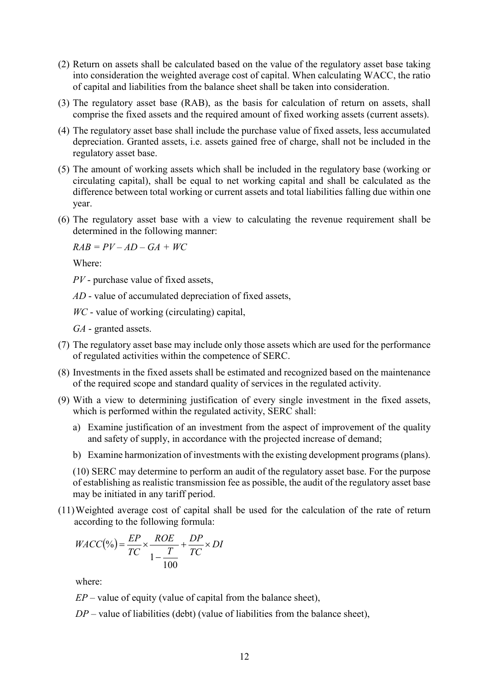- (2) Return on assets shall be calculated based on the value of the regulatory asset base taking into consideration the weighted average cost of capital. When calculating WACC, the ratio of capital and liabilities from the balance sheet shall be taken into consideration.
- (3) The regulatory asset base (RAB), as the basis for calculation of return on assets, shall comprise the fixed assets and the required amount of fixed working assets (current assets).
- (4) The regulatory asset base shall include the purchase value of fixed assets, less accumulated depreciation. Granted assets, i.e. assets gained free of charge, shall not be included in the regulatory asset base.
- (5) The amount of working assets which shall be included in the regulatory base (working or circulating capital), shall be equal to net working capital and shall be calculated as the difference between total working or current assets and total liabilities falling due within one year.
- (6) The regulatory asset base with a view to calculating the revenue requirement shall be determined in the following manner:

 $RAB = PV - AD - GA + WC$ 

Where:

*PV* - purchase value of fixed assets,

*AD* - value of accumulated depreciation of fixed assets,

*WC* - value of working (circulating) capital,

*GA* - granted assets.

- (7) The regulatory asset base may include only those assets which are used for the performance of regulated activities within the competence of SERC.
- (8) Investments in the fixed assets shall be estimated and recognized based on the maintenance of the required scope and standard quality of services in the regulated activity.
- (9) With a view to determining justification of every single investment in the fixed assets, which is performed within the regulated activity, SERC shall:
	- a) Examine justification of an investment from the aspect of improvement of the quality and safety of supply, in accordance with the projected increase of demand;
	- b) Examine harmonization of investments with the existing development programs (plans).

(10) SERC may determine to perform an audit of the regulatory asset base. For the purpose of establishing as realistic transmission fee as possible, the audit of the regulatory asset base may be initiated in any tariff period.

(11)Weighted average cost of capital shall be used for the calculation of the rate of return according to the following formula:

$$
WACC(\%) = \frac{EP}{TC} \times \frac{ROE}{1 - \frac{T}{100}} + \frac{DP}{TC} \times DI
$$

where:

 $EP$  – value of equity (value of capital from the balance sheet),

*DP* – value of liabilities (debt) (value of liabilities from the balance sheet),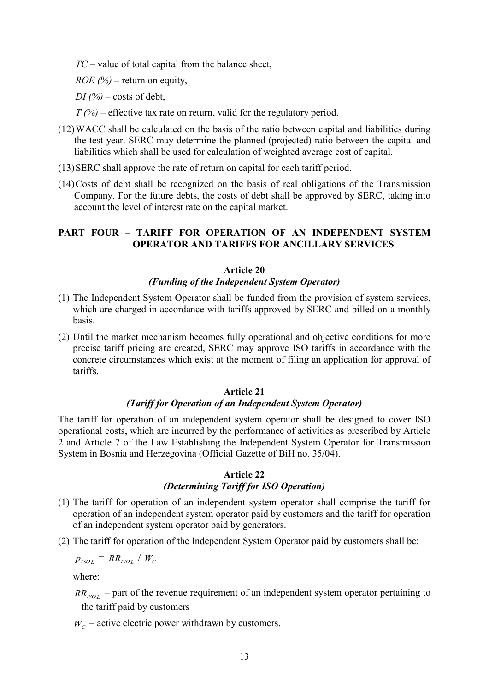*TC* – value of total capital from the balance sheet,

*ROE (%)* – return on equity,

*DI*  $\frac{1}{2}$  – costs of debt,

*T (%)* – effective tax rate on return, valid for the regulatory period.

- (12)WACC shall be calculated on the basis of the ratio between capital and liabilities during the test year. SERC may determine the planned (projected) ratio between the capital and liabilities which shall be used for calculation of weighted average cost of capital.
- (13)SERC shall approve the rate of return on capital for each tariff period.
- (14)Costs of debt shall be recognized on the basis of real obligations of the Transmission Company. For the future debts, the costs of debt shall be approved by SERC, taking into account the level of interest rate on the capital market.

### **PART FOUR – TARIFF FOR OPERATION OF AN INDEPENDENT SYSTEM OPERATOR AND TARIFFS FOR ANCILLARY SERVICES**

#### **Article 20**

#### *(Funding of the Independent System Operator)*

- (1) The Independent System Operator shall be funded from the provision of system services, which are charged in accordance with tariffs approved by SERC and billed on a monthly basis.
- (2) Until the market mechanism becomes fully operational and objective conditions for more precise tariff pricing are created, SERC may approve ISO tariffs in accordance with the concrete circumstances which exist at the moment of filing an application for approval of tariffs.

#### **Article 21**

#### *(Tariff for Operation of an Independent System Operator)*

The tariff for operation of an independent system operator shall be designed to cover ISO operational costs, which are incurred by the performance of activities as prescribed by Article 2 and Article 7 of the Law Establishing the Independent System Operator for Transmission System in Bosnia and Herzegovina (Official Gazette of BiH no. 35/04).

#### **Article 22** *(Determining Tariff for ISO Operation)*

- (1) The tariff for operation of an independent system operator shall comprise the tariff for operation of an independent system operator paid by customers and the tariff for operation of an independent system operator paid by generators.
- (2) The tariff for operation of the Independent System Operator paid by customers shall be:

 $p_{ISOI}$  = *RR<sub>ISOL</sub>* /  $W_C$ 

where:

 $RR_{ISOL}$  – part of the revenue requirement of an independent system operator pertaining to the tariff paid by customers

 $W_c$  – active electric power withdrawn by customers.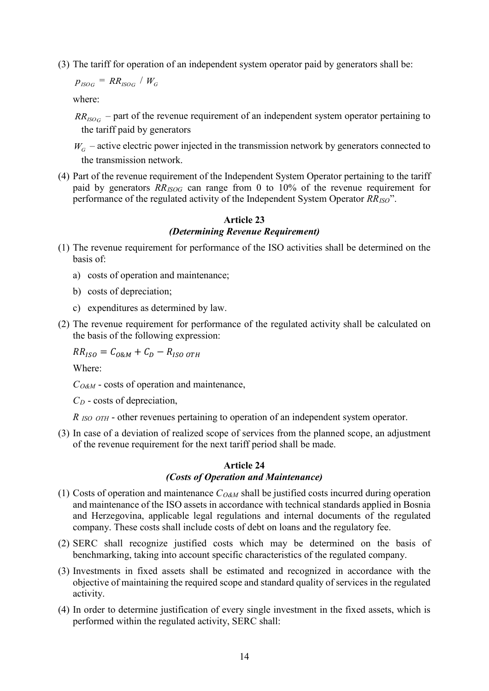(3) The tariff for operation of an independent system operator paid by generators shall be:

 $p_{ISOG}$  =  $RR_{ISOG}$  /  $W_G$ 

where:

 $RR_{ISOG}$  – part of the revenue requirement of an independent system operator pertaining to the tariff paid by generators

 $W_G$  – active electric power injected in the transmission network by generators connected to the transmission network.

(4) Part of the revenue requirement of the Independent System Operator pertaining to the tariff paid by generators *RRISOG* can range from 0 to 10% of the revenue requirement for performance of the regulated activity of the Independent System Operator *RRISO*".

#### **Article 23** *(Determining Revenue Requirement)*

- (1) The revenue requirement for performance of the ISO activities shall be determined on the basis of:
	- a) costs of operation and maintenance;
	- b) costs of depreciation;
	- c) expenditures as determined by law.
- (2) The revenue requirement for performance of the regulated activity shall be calculated on the basis of the following expression:

$$
RR_{ISO}=C_{O\&M}+C_D-R_{ISO\ OTH}
$$

Where:

*CO&M* - costs of operation and maintenance,

*CD* - costs of depreciation,

*R ISO OTH* - other revenues pertaining to operation of an independent system operator.

(3) In case of a deviation of realized scope of services from the planned scope, an adjustment of the revenue requirement for the next tariff period shall be made.

#### **Article 24**

### *(Costs of Operation and Maintenance)*

- (1) Costs of operation and maintenance  $C_{O\&M}$  shall be justified costs incurred during operation and maintenance of the ISO assets in accordance with technical standards applied in Bosnia and Herzegovina, applicable legal regulations and internal documents of the regulated company. These costs shall include costs of debt on loans and the regulatory fee.
- (2) SERC shall recognize justified costs which may be determined on the basis of benchmarking, taking into account specific characteristics of the regulated company.
- (3) Investments in fixed assets shall be estimated and recognized in accordance with the objective of maintaining the required scope and standard quality of services in the regulated activity.
- (4) In order to determine justification of every single investment in the fixed assets, which is performed within the regulated activity, SERC shall: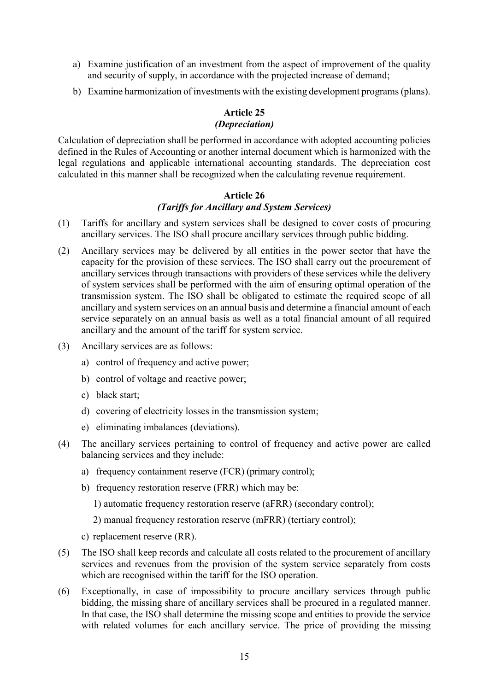- a) Examine justification of an investment from the aspect of improvement of the quality and security of supply, in accordance with the projected increase of demand;
- b) Examine harmonization of investments with the existing development programs (plans).

### **Article 25** *(Depreciation)*

Calculation of depreciation shall be performed in accordance with adopted accounting policies defined in the Rules of Accounting or another internal document which is harmonized with the legal regulations and applicable international accounting standards. The depreciation cost calculated in this manner shall be recognized when the calculating revenue requirement.

#### **Article 26** *(Tariffs for Ancillary and System Services)*

- (1) Tariffs for ancillary and system services shall be designed to cover costs of procuring ancillary services. The ISO shall procure ancillary services through public bidding.
- (2) Ancillary services may be delivered by all entities in the power sector that have the capacity for the provision of these services. The ISO shall carry out the procurement of ancillary services through transactions with providers of these services while the delivery of system services shall be performed with the aim of ensuring optimal operation of the transmission system. The ISO shall be obligated to estimate the required scope of all ancillary and system services on an annual basis and determine a financial amount of each service separately on an annual basis as well as a total financial amount of all required ancillary and the amount of the tariff for system service.
- (3) Ancillary services are as follows:
	- a) control of frequency and active power;
	- b) control of voltage and reactive power;
	- c) black start;
	- d) covering of electricity losses in the transmission system;
	- e) eliminating imbalances (deviations).
- (4) The ancillary services pertaining to control of frequency and active power are called balancing services and they include:
	- a) frequency containment reserve (FCR) (primary control);
	- b) frequency restoration reserve (FRR) which may be:
		- 1) automatic frequency restoration reserve (aFRR) (secondary control);

2) manual frequency restoration reserve (mFRR) (tertiary control);

- c) replacement reserve (RR).
- (5) The ISO shall keep records and calculate all costs related to the procurement of ancillary services and revenues from the provision of the system service separately from costs which are recognised within the tariff for the ISO operation.
- (6) Exceptionally, in case of impossibility to procure ancillary services through public bidding, the missing share of ancillary services shall be procured in a regulated manner. In that case, the ISO shall determine the missing scope and entities to provide the service with related volumes for each ancillary service. The price of providing the missing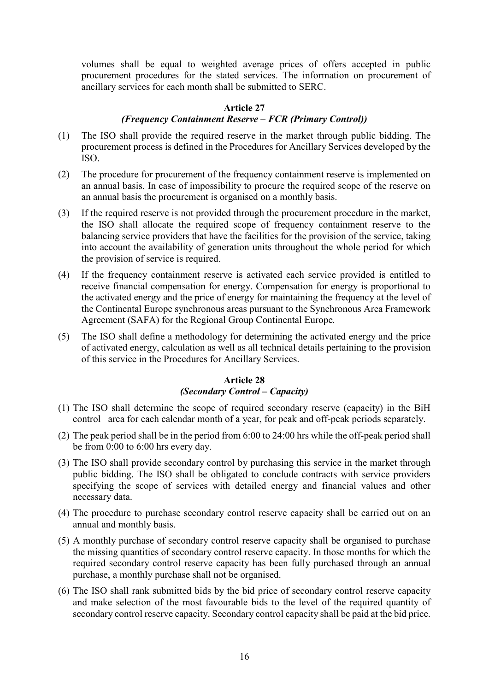volumes shall be equal to weighted average prices of offers accepted in public procurement procedures for the stated services. The information on procurement of ancillary services for each month shall be submitted to SERC.

#### **Article 27**

# *(Frequency Containment Reserve – FCR (Primary Control))*

- (1) The ISO shall provide the required reserve in the market through public bidding. The procurement process is defined in the Procedures for Ancillary Services developed by the ISO.
- (2) The procedure for procurement of the frequency containment reserve is implemented on an annual basis. In case of impossibility to procure the required scope of the reserve on an annual basis the procurement is organised on a monthly basis.
- (3) If the required reserve is not provided through the procurement procedure in the market, the ISO shall allocate the required scope of frequency containment reserve to the balancing service providers that have the facilities for the provision of the service, taking into account the availability of generation units throughout the whole period for which the provision of service is required.
- (4) If the frequency containment reserve is activated each service provided is entitled to receive financial compensation for energy. Compensation for energy is proportional to the activated energy and the price of energy for maintaining the frequency at the level of the Continental Europe synchronous areas pursuant to the Synchronous Area Framework Agreement (SAFA) for the Regional Group Continental Europe*.*
- (5) The ISO shall define a methodology for determining the activated energy and the price of activated energy, calculation as well as all technical details pertaining to the provision of this service in the Procedures for Ancillary Services.

# **Article 28** *(Secondary Control – Capacity)*

- (1) The ISO shall determine the scope of required secondary reserve (capacity) in the BiH control area for each calendar month of a year, for peak and off-peak periods separately.
- (2) The peak period shall be in the period from 6:00 to 24:00 hrs while the off-peak period shall be from 0:00 to 6:00 hrs every day.
- (3) The ISO shall provide secondary control by purchasing this service in the market through public bidding. The ISO shall be obligated to conclude contracts with service providers specifying the scope of services with detailed energy and financial values and other necessary data.
- (4) The procedure to purchase secondary control reserve capacity shall be carried out on an annual and monthly basis.
- (5) A monthly purchase of secondary control reserve capacity shall be organised to purchase the missing quantities of secondary control reserve capacity. In those months for which the required secondary control reserve capacity has been fully purchased through an annual purchase, a monthly purchase shall not be organised.
- (6) The ISO shall rank submitted bids by the bid price of secondary control reserve capacity and make selection of the most favourable bids to the level of the required quantity of secondary control reserve capacity. Secondary control capacity shall be paid at the bid price.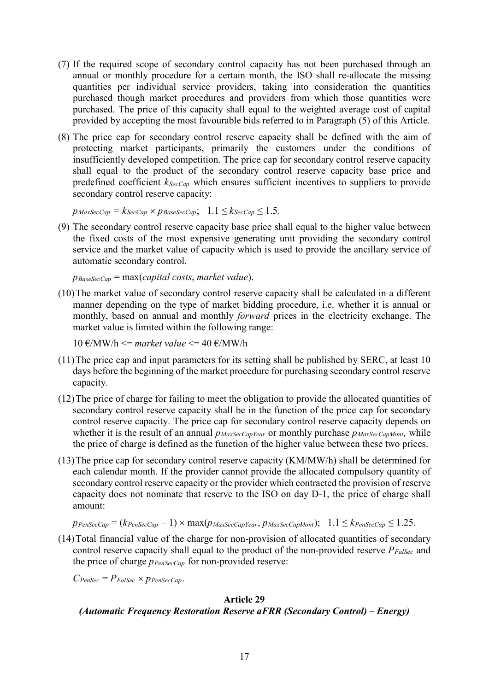- (7) If the required scope of secondary control capacity has not been purchased through an annual or monthly procedure for a certain month, the ISO shall re-allocate the missing quantities per individual service providers, taking into consideration the quantities purchased though market procedures and providers from which those quantities were purchased. The price of this capacity shall equal to the weighted average cost of capital provided by accepting the most favourable bids referred to in Paragraph (5) of this Article.
- (8) The price cap for secondary control reserve capacity shall be defined with the aim of protecting market participants, primarily the customers under the conditions of insufficiently developed competition. The price cap for secondary control reserve capacity shall equal to the product of the secondary control reserve capacity base price and predefined coefficient *kSecCap* which ensures sufficient incentives to suppliers to provide secondary control reserve capacity:

 $p_{MaxSecCap} = k_{SecCap} \times p_{BaseSecCap}; \quad 1.1 \leq k_{SecCap} \leq 1.5.$ 

(9) The secondary control reserve capacity base price shall equal to the higher value between the fixed costs of the most expensive generating unit providing the secondary control service and the market value of capacity which is used to provide the ancillary service of automatic secondary control.

*pBaseSecCap* = max(*capital costs*, *market value*).

(10)The market value of secondary control reserve capacity shall be calculated in a different manner depending on the type of market bidding procedure, i.e. whether it is annual or monthly, based on annual and monthly *forward* prices in the electricity exchange. The market value is limited within the following range:

 $10 \text{ E} / \text{MW/h} \leq$  market value  $\leq$  40  $\text{E} / \text{MW/h}$ 

- (11)The price cap and input parameters for its setting shall be published by SERC, at least 10 days before the beginning of the market procedure for purchasing secondary control reserve capacity.
- (12)The price of charge for failing to meet the obligation to provide the allocated quantities of secondary control reserve capacity shall be in the function of the price cap for secondary control reserve capacity. The price cap for secondary control reserve capacity depends on whether it is the result of an annual  $p_{MaxSecCapYear}$  or monthly purchase  $p_{MaxSecCapMont}$ , while the price of charge is defined as the function of the higher value between these two prices.
- (13)The price cap for secondary control reserve capacity (KM/MW/h) shall be determined for each calendar month. If the provider cannot provide the allocated compulsory quantity of secondary control reserve capacity or the provider which contracted the provision of reserve capacity does not nominate that reserve to the ISO on day D-1, the price of charge shall amount:

$$
p_{PenSecCap} = (k_{PenSecCap} - 1) \times \max(p_{MaxSecCapYear}, p_{MaxSecCapMont}); \quad 1.1 \leq k_{PenSecCap} \leq 1.25.
$$

(14)Total financial value of the charge for non-provision of allocated quantities of secondary control reserve capacity shall equal to the product of the non-provided reserve  $P_{False}$  and the price of charge  $p_{PenSecCap}$  for non-provided reserve:

 $C_{PenSec} = P_{False} \times p_{PenSecCap}$ .

#### **Article 29**

#### *(Automatic Frequency Restoration Reserve aFRR (Secondary Control) – Energy)*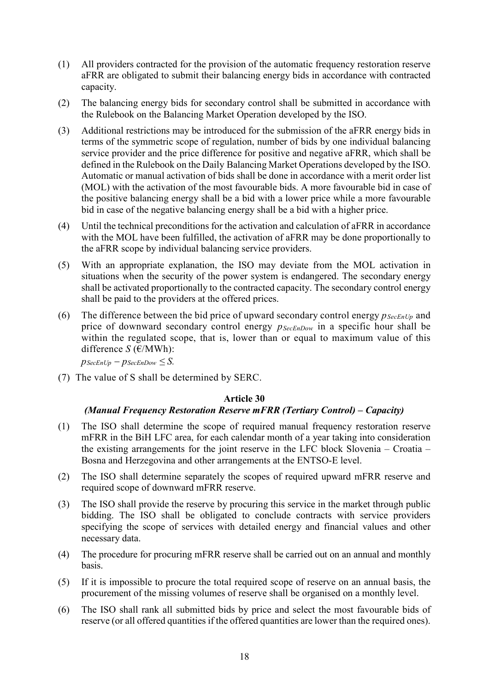- (1) All providers contracted for the provision of the automatic frequency restoration reserve aFRR are obligated to submit their balancing energy bids in accordance with contracted capacity.
- (2) The balancing energy bids for secondary control shall be submitted in accordance with the Rulebook on the Balancing Market Operation developed by the ISO.
- (3) Additional restrictions may be introduced for the submission of the aFRR energy bids in terms of the symmetric scope of regulation, number of bids by one individual balancing service provider and the price difference for positive and negative aFRR, which shall be defined in the Rulebook on the Daily Balancing Market Operations developed by the ISO. Automatic or manual activation of bids shall be done in accordance with a merit order list (MOL) with the activation of the most favourable bids. A more favourable bid in case of the positive balancing energy shall be a bid with a lower price while a more favourable bid in case of the negative balancing energy shall be a bid with a higher price.
- (4) Until the technical preconditions for the activation and calculation of aFRR in accordance with the MOL have been fulfilled, the activation of aFRR may be done proportionally to the aFRR scope by individual balancing service providers.
- (5) With an appropriate explanation, the ISO may deviate from the MOL activation in situations when the security of the power system is endangered. The secondary energy shall be activated proportionally to the contracted capacity. The secondary control energy shall be paid to the providers at the offered prices.
- (6) The difference between the bid price of upward secondary control energy  $p_{SecEnUp}$  and price of downward secondary control energy  $p_{\text{SecEnDown}}$  in a specific hour shall be within the regulated scope, that is, lower than or equal to maximum value of this difference *S* (€/MWh):

 $p_{SecEnUp} - p_{SecEnDown} \leq S$ .

(7) The value of S shall be determined by SERC.

#### **Article 30**

### *(Manual Frequency Restoration Reserve mFRR (Tertiary Control) – Capacity)*

- (1) The ISO shall determine the scope of required manual frequency restoration reserve mFRR in the BiH LFC area, for each calendar month of a year taking into consideration the existing arrangements for the joint reserve in the LFC block Slovenia – Croatia – Bosna and Herzegovina and other arrangements at the ENTSO-E level.
- (2) The ISO shall determine separately the scopes of required upward mFRR reserve and required scope of downward mFRR reserve.
- (3) The ISO shall provide the reserve by procuring this service in the market through public bidding. The ISO shall be obligated to conclude contracts with service providers specifying the scope of services with detailed energy and financial values and other necessary data.
- (4) The procedure for procuring mFRR reserve shall be carried out on an annual and monthly basis.
- (5) If it is impossible to procure the total required scope of reserve on an annual basis, the procurement of the missing volumes of reserve shall be organised on a monthly level.
- (6) The ISO shall rank all submitted bids by price and select the most favourable bids of reserve (or all offered quantities if the offered quantities are lower than the required ones).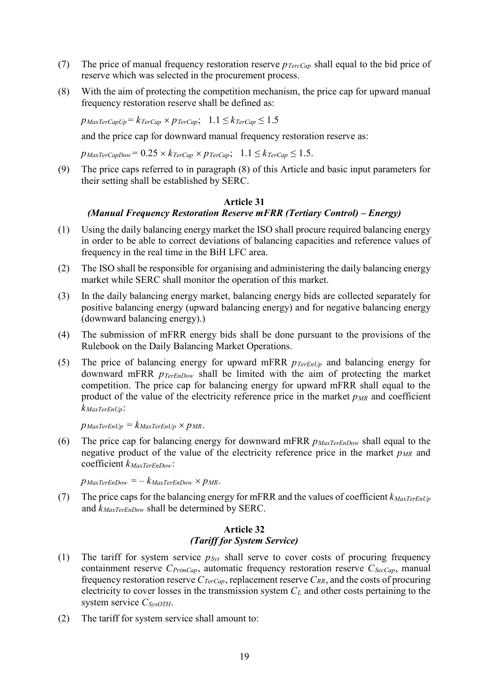- (7) The price of manual frequency restoration reserve *pTercCap* shall equal to the bid price of reserve which was selected in the procurement process.
- (8) With the aim of protecting the competition mechanism, the price cap for upward manual frequency restoration reserve shall be defined as:

 $p_{\text{MaxTerCapUp}} = k_{\text{TerCap}} \times p_{\text{TerCap}}; \ \ 1.1 \leq k_{\text{TerCap}} \leq 1.5$ 

and the price cap for downward manual frequency restoration reserve as:

 $p_{\text{MaxTerCapDown}} = 0.25 \times k_{\text{TerCap}} \times p_{\text{TerCap}}; \quad 1.1 \leq k_{\text{TerCap}} \leq 1.5.$ 

(9) The price caps referred to in paragraph (8) of this Article and basic input parameters for their setting shall be established by SERC.

#### **Article 31**

### *(Manual Frequency Restoration Reserve mFRR (Tertiary Control) – Energy)*

- (1) Using the daily balancing energy market the ISO shall procure required balancing energy in order to be able to correct deviations of balancing capacities and reference values of frequency in the real time in the BiH LFC area.
- (2) The ISO shall be responsible for organising and administering the daily balancing energy market while SERC shall monitor the operation of this market.
- (3) In the daily balancing energy market, balancing energy bids are collected separately for positive balancing energy (upward balancing energy) and for negative balancing energy (downward balancing energy).)
- (4) The submission of mFRR energy bids shall be done pursuant to the provisions of the Rulebook on the Daily Balancing Market Operations.
- (5) The price of balancing energy for upward mFRR *pTerEnUp* and balancing energy for downward mFRR *pTerEnDow* shall be limited with the aim of protecting the market competition. The price cap for balancing energy for upward mFRR shall equal to the product of the value of the electricity reference price in the market  $p_{MR}$  and coefficient *kMaxTerEnUp*:

 $p_{\text{MaxTerEnUp}} = k_{\text{MaxTerEnUp}} \times p_{\text{MR}}.$ 

(6) The price cap for balancing energy for downward mFRR *pMaxTerEnDow* shall equal to the negative product of the value of the electricity reference price in the market  $p_{MR}$  and coefficient *kMaxTerEnDow*:

 $p_{\text{MaxTerEnDown}} = -k_{\text{MaxTerEnDown}} \times p_{\text{MR}}.$ 

(7) The price caps for the balancing energy for mFRR and the values of coefficient  $k_{\text{MaxTerEnUp}}$ and *kMaxTerEnDow* shall be determined by SERC.

#### **Article 32** *(Tariff for System Service)*

- (1) The tariff for system service  $p_{\text{Sys}}$  shall serve to cover costs of procuring frequency containment reserve *C<sub>PrimCap</sub>*, automatic frequency restoration reserve *C<sub>SecCap</sub>*, manual frequency restoration reserve  $C_{TerCap}$ , replacement reserve  $C_{RR}$ , and the costs of procuring electricity to cover losses in the transmission system *CL* and other costs pertaining to the system service *CSysOTH*.
- (2) The tariff for system service shall amount to: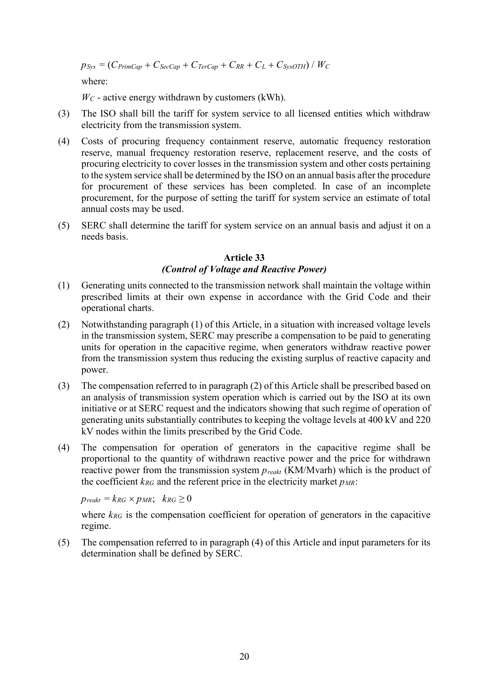$p_{Sys} = (C_{PrimCap} + C_{SecCap} + C_{TerCap} + C_{RR} + C_L + C_{SysOTH}) / W_C$ 

where:

 $W_C$  - active energy withdrawn by customers (kWh).

- (3) The ISO shall bill the tariff for system service to all licensed entities which withdraw electricity from the transmission system.
- (4) Costs of procuring frequency containment reserve, automatic frequency restoration reserve, manual frequency restoration reserve, replacement reserve, and the costs of procuring electricity to cover losses in the transmission system and other costs pertaining to the system service shall be determined by the ISO on an annual basis after the procedure for procurement of these services has been completed. In case of an incomplete procurement, for the purpose of setting the tariff for system service an estimate of total annual costs may be used.
- (5) SERC shall determine the tariff for system service on an annual basis and adjust it on a needs basis.

# **Article 33** *(Control of Voltage and Reactive Power)*

- (1) Generating units connected to the transmission network shall maintain the voltage within prescribed limits at their own expense in accordance with the Grid Code and their operational charts.
- (2) Notwithstanding paragraph (1) of this Article, in a situation with increased voltage levels in the transmission system, SERC may prescribe a compensation to be paid to generating units for operation in the capacitive regime, when generators withdraw reactive power from the transmission system thus reducing the existing surplus of reactive capacity and power.
- (3) The compensation referred to in paragraph (2) of this Article shall be prescribed based on an analysis of transmission system operation which is carried out by the ISO at its own initiative or at SERC request and the indicators showing that such regime of operation of generating units substantially contributes to keeping the voltage levels at 400 kV and 220 kV nodes within the limits prescribed by the Grid Code.
- (4) The compensation for operation of generators in the capacitive regime shall be proportional to the quantity of withdrawn reactive power and the price for withdrawn reactive power from the transmission system *preakt* (KM/Mvarh) which is the product of the coefficient  $k_{RG}$  and the referent price in the electricity market  $p_{MR}$ :

 $p_{\text{reak}} = k_{\text{RG}} \times p_{\text{MR}}$ ;  $k_{\text{RG}} \geq 0$ 

where  $k_{RG}$  is the compensation coefficient for operation of generators in the capacitive regime.

(5) The compensation referred to in paragraph (4) of this Article and input parameters for its determination shall be defined by SERC.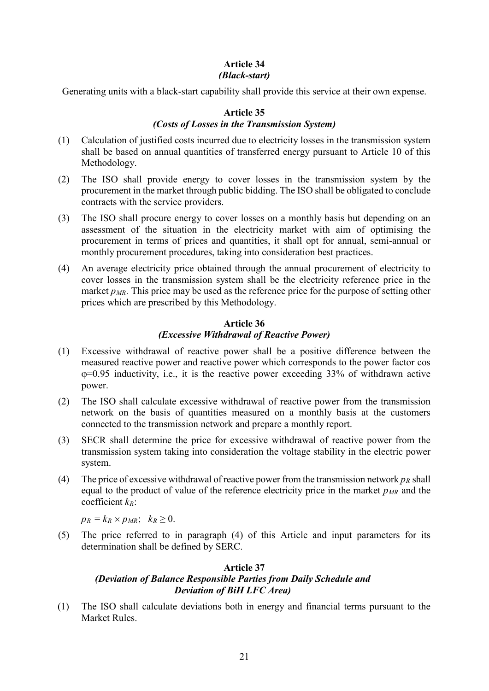# **Article 34** *(Black-start)*

Generating units with a black-start capability shall provide this service at their own expense.

### **Article 35**

### *(Costs of Losses in the Transmission System)*

- (1) Calculation of justified costs incurred due to electricity losses in the transmission system shall be based on annual quantities of transferred energy pursuant to Article 10 of this Methodology.
- (2) The ISO shall provide energy to cover losses in the transmission system by the procurement in the market through public bidding. The ISO shall be obligated to conclude contracts with the service providers.
- (3) The ISO shall procure energy to cover losses on a monthly basis but depending on an assessment of the situation in the electricity market with aim of optimising the procurement in terms of prices and quantities, it shall opt for annual, semi-annual or monthly procurement procedures, taking into consideration best practices.
- (4) An average electricity price obtained through the annual procurement of electricity to cover losses in the transmission system shall be the electricity reference price in the market  $p_{MR}$ . This price may be used as the reference price for the purpose of setting other prices which are prescribed by this Methodology.

### **Article 36** *(Excessive Withdrawal of Reactive Power)*

- (1) Excessive withdrawal of reactive power shall be a positive difference between the measured reactive power and reactive power which corresponds to the power factor cos φ=0.95 inductivity, i.e., it is the reactive power exceeding 33% of withdrawn active power.
- (2) The ISO shall calculate excessive withdrawal of reactive power from the transmission network on the basis of quantities measured on a monthly basis at the customers connected to the transmission network and prepare a monthly report.
- (3) SECR shall determine the price for excessive withdrawal of reactive power from the transmission system taking into consideration the voltage stability in the electric power system.
- (4) The price of excessive withdrawal of reactive power from the transmission network  $p_R$  shall equal to the product of value of the reference electricity price in the market  $p_{MR}$  and the coefficient *kR*:

 $p_R = k_R \times p_{MR}$ ;  $k_R \geq 0$ .

(5) The price referred to in paragraph (4) of this Article and input parameters for its determination shall be defined by SERC.

#### **Article 37** *(Deviation of Balance Responsible Parties from Daily Schedule and Deviation of BiH LFC Area)*

(1) The ISO shall calculate deviations both in energy and financial terms pursuant to the Market Rules.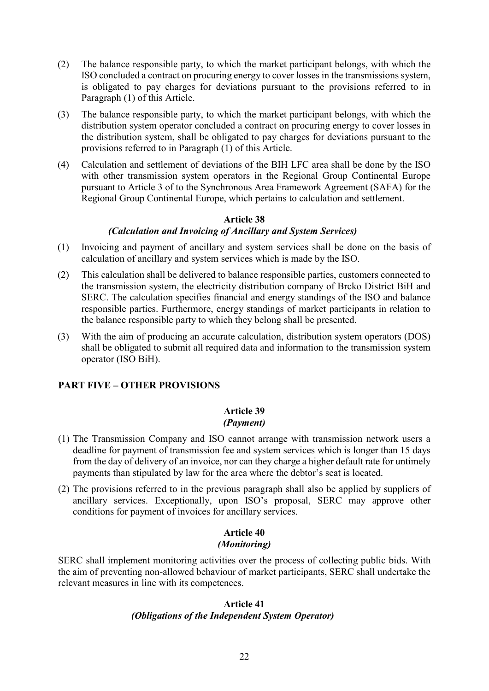- (2) The balance responsible party, to which the market participant belongs, with which the ISO concluded a contract on procuring energy to cover losses in the transmissions system, is obligated to pay charges for deviations pursuant to the provisions referred to in Paragraph (1) of this Article.
- (3) The balance responsible party, to which the market participant belongs, with which the distribution system operator concluded a contract on procuring energy to cover losses in the distribution system, shall be obligated to pay charges for deviations pursuant to the provisions referred to in Paragraph (1) of this Article.
- (4) Calculation and settlement of deviations of the BIH LFC area shall be done by the ISO with other transmission system operators in the Regional Group Continental Europe pursuant to Article 3 of to the Synchronous Area Framework Agreement (SAFA) for the Regional Group Continental Europe, which pertains to calculation and settlement.

# **Article 38** *(Calculation and Invoicing of Ancillary and System Services)*

- (1) Invoicing and payment of ancillary and system services shall be done on the basis of calculation of ancillary and system services which is made by the ISO.
- (2) This calculation shall be delivered to balance responsible parties, customers connected to the transmission system, the electricity distribution company of Brcko District BiH and SERC. The calculation specifies financial and energy standings of the ISO and balance responsible parties. Furthermore, energy standings of market participants in relation to the balance responsible party to which they belong shall be presented.
- (3) With the aim of producing an accurate calculation, distribution system operators (DOS) shall be obligated to submit all required data and information to the transmission system operator (ISO BiH).

# **PART FIVE – OTHER PROVISIONS**

### **Article 39** *(Payment)*

- (1) The Transmission Company and ISO cannot arrange with transmission network users a deadline for payment of transmission fee and system services which is longer than 15 days from the day of delivery of an invoice, nor can they charge a higher default rate for untimely payments than stipulated by law for the area where the debtor's seat is located.
- (2) The provisions referred to in the previous paragraph shall also be applied by suppliers of ancillary services. Exceptionally, upon ISO's proposal, SERC may approve other conditions for payment of invoices for ancillary services.

# **Article 40** *(Monitoring)*

SERC shall implement monitoring activities over the process of collecting public bids. With the aim of preventing non-allowed behaviour of market participants, SERC shall undertake the relevant measures in line with its competences.

### **Article 41** *(Obligations of the Independent System Operator)*